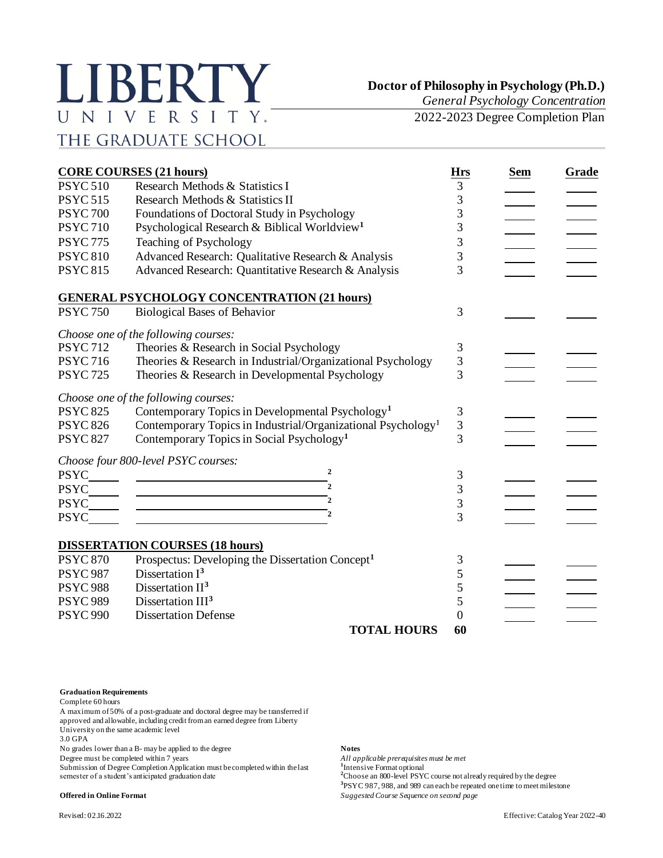# LIBERTY UNIVERSITY. THE GRADUATE SCHOOL

**Doctor of Philosophy in Psychology (Ph.D.)**

*General Psychology Concentration*

2022-2023 Degree Completion Plan

|                 | <b>CORE COURSES (21 hours)</b>                                                                                                          | <b>Hrs</b>     | <b>Sem</b> | Grade |
|-----------------|-----------------------------------------------------------------------------------------------------------------------------------------|----------------|------------|-------|
| <b>PSYC 510</b> | Research Methods & Statistics I                                                                                                         | 3              |            |       |
| <b>PSYC 515</b> | Research Methods & Statistics II                                                                                                        | 3              |            |       |
| <b>PSYC 700</b> | Foundations of Doctoral Study in Psychology                                                                                             | 3              |            |       |
| <b>PSYC 710</b> | Psychological Research & Biblical Worldview <sup>1</sup>                                                                                | 3              |            |       |
| <b>PSYC 775</b> | Teaching of Psychology                                                                                                                  | 3              |            |       |
| <b>PSYC 810</b> | Advanced Research: Qualitative Research & Analysis                                                                                      | 3              |            |       |
| <b>PSYC 815</b> | Advanced Research: Quantitative Research & Analysis                                                                                     | 3              |            |       |
|                 | <b>GENERAL PSYCHOLOGY CONCENTRATION (21 hours)</b>                                                                                      |                |            |       |
| <b>PSYC 750</b> | <b>Biological Bases of Behavior</b>                                                                                                     | 3              |            |       |
|                 | Choose one of the following courses:                                                                                                    |                |            |       |
| <b>PSYC 712</b> | Theories & Research in Social Psychology                                                                                                | 3              |            |       |
| <b>PSYC 716</b> | Theories & Research in Industrial/Organizational Psychology                                                                             | 3              |            |       |
| <b>PSYC 725</b> | Theories & Research in Developmental Psychology                                                                                         | 3              |            |       |
|                 | Choose one of the following courses:                                                                                                    |                |            |       |
| <b>PSYC 825</b> | Contemporary Topics in Developmental Psychology <sup>1</sup>                                                                            | 3              |            |       |
| <b>PSYC 826</b> | Contemporary Topics in Industrial/Organizational Psychology <sup>1</sup>                                                                | 3              |            |       |
| <b>PSYC 827</b> | Contemporary Topics in Social Psychology <sup>1</sup>                                                                                   | 3              |            |       |
|                 | Choose four 800-level PSYC courses:                                                                                                     |                |            |       |
| <b>PSYC</b>     | $\overline{2}$<br><u> 1989 - Johann Barn, mars ann an t-Amhain Aonaich an t-Aonaich an t-Aonaich an t-Aonaich an t-Aonaich an t-Aon</u> | 3              |            |       |
| <b>PSYC</b>     | $\overline{\phantom{a}}$<br><u> 1989 - Johann Barn, amerikansk politiker (d. 1989)</u>                                                  | 3              |            |       |
| <b>PSYC</b>     | $\overline{\phantom{a}}$                                                                                                                | 3              |            |       |
| <b>PSYC</b>     |                                                                                                                                         | 3              |            |       |
|                 | <b>DISSERTATION COURSES (18 hours)</b>                                                                                                  |                |            |       |
| <b>PSYC 870</b> | Prospectus: Developing the Dissertation Concept <sup>1</sup>                                                                            | 3              |            |       |
| <b>PSYC 987</b> | Dissertation $I3$                                                                                                                       | 5              |            |       |
| <b>PSYC 988</b> | Dissertation II <sup>3</sup>                                                                                                            | 5              |            |       |
| <b>PSYC 989</b> | Dissertation III <sup>3</sup>                                                                                                           | 5              |            |       |
| <b>PSYC 990</b> | <b>Dissertation Defense</b>                                                                                                             | $\overline{0}$ |            |       |
|                 | <b>TOTAL HOURS</b>                                                                                                                      | 60             |            |       |

#### **Graduation Requirements**

Complete 60 hours

A maximum of 50% of a post-graduate and doctoral degree may be transferred if approved and allowable, including credit from an earned degree from Liberty

University on the same academic level

3.0 GPA

No grades lower than a B- may be applied to the degree **Notes**<br>
Degree must be completed within 7 years **Notes Notes Notes Notes Notes Notes Notes Notes Notes Notes Notes Notes Notes**

Degree must be completed within 7 years

Submission of Degree Completion Application must be completed within the last semester of a student's anticipated graduation date

### **Offered in Online Format** *Suggested Course Sequence on second page*

<sup>1</sup>Intensive Format optional <sup>2</sup>Choose an 800-level PSYC course not already required by the degree **3** PSYC 987, 988, and 989 can each be repeated one time to meet milestone